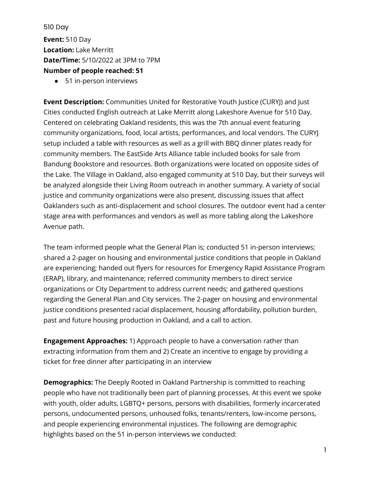510 Day **Event:** 510 Day **Location:** Lake Merritt **Date/Time:** 5/10/2022 at 3PM to 7PM **Number of people reached: 51**

● 51 in-person interviews

**Event Description:** Communities United for Restorative Youth Justice (CURYJ) and Just Cities conducted English outreach at Lake Merritt along Lakeshore Avenue for 510 Day. Centered on celebrating Oakland residents, this was the 7th annual event featuring community organizations, food, local artists, performances, and local vendors. The CURYJ setup included a table with resources as well as a grill with BBQ dinner plates ready for community members. The EastSide Arts Alliance table included books for sale from Bandung Bookstore and resources. Both organizations were located on opposite sides of the Lake. The Village in Oakland, also engaged community at 510 Day, but their surveys will be analyzed alongside their Living Room outreach in another summary. A variety of social justice and community organizations were also present, discussing issues that affect Oaklanders such as anti-displacement and school closures. The outdoor event had a center stage area with performances and vendors as well as more tabling along the Lakeshore Avenue path.

The team informed people what the General Plan is; conducted 51 in-person interviews; shared a 2-pager on housing and environmental justice conditions that people in Oakland are experiencing; handed out flyers for resources for Emergency Rapid Assistance Program (ERAP), library, and maintenance; referred community members to direct service organizations or City Department to address current needs; and gathered questions regarding the General Plan and City services. The 2-pager on housing and environmental justice conditions presented racial displacement, housing affordability, pollution burden, past and future housing production in Oakland, and a call to action.

**Engagement Approaches:** 1) Approach people to have a conversation rather than extracting information from them and 2) Create an incentive to engage by providing a ticket for free dinner after participating in an interview

**Demographics:** The Deeply Rooted in Oakland Partnership is committed to reaching people who have not traditionally been part of planning processes. At this event we spoke with youth, older adults, LGBTQ+ persons, persons with disabilities, formerly incarcerated persons, undocumented persons, unhoused folks, tenants/renters, low-income persons, and people experiencing environmental injustices. The following are demographic highlights based on the 51 in-person interviews we conducted: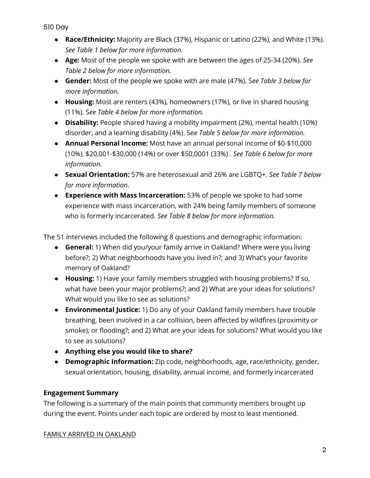- **Race/Ethnicity:** Majority are Black (37%), Hispanic or Latino (22%), and White (13%). *See Table 1 below for more information.*
- **Age:** Most of the people we spoke with are between the ages of 25-34 (20%). *See Table 2 below for more information.*
- **Gender:** Most of the people we spoke with are male (47%). S*ee Table 3 below for more information.*
- **Housing:** Most are renters (43%), homeowners (17%), or live in shared housing (11%). S*ee Table 4 below for more information.*
- **Disability:** People shared having a mobility impairment (2%), mental health (10%) disorder, and a learning disability (4%). Se*e Table 5 below for more information.*
- **Annual Personal Income:** Most have an annual personal income of \$0-\$10,000 (10%), \$20,001-\$30,000 (14%) or over \$50,0001 (33%) . *See Table 6 below for more information.*
- **Sexual Orientation:** 57% are heterosexual and 26% are LGBTQ+. *See Table 7 below for more information.*
- **Experience with Mass Incarceration:** 53% of people we spoke to had some experience with mass incarceration, with 24% being family members of someone who is formerly incarcerated. *See Table 8 below for more information.*

The 51 interviews included the following 8 questions and demographic information:

- **General:** 1) When did you/your family arrive in Oakland? Where were you living before?; 2) What neighborhoods have you lived in?; and 3) What's your favorite memory of Oakland?
- **Housing:** 1) Have your family members struggled with housing problems? If so, what have been your major problems?; and 2) What are your ideas for solutions? What would you like to see as solutions?
- **Environmental Justice:** 1) Do any of your Oakland family members have trouble breathing, been involved in a car collision, been affected by wildfires (proximity or smoke), or flooding?; and 2) What are your ideas for solutions? What would you like to see as solutions?
- **Anything else you would like to share?**
- **Demographic Information:** Zip code, neighborhoods, age, race/ethnicity, gender, sexual orientation, housing, disability, annual income, and formerly incarcerated

## **Engagement Summary**

The following is a summary of the main points that community members brought up during the event. Points under each topic are ordered by most to least mentioned.

## FAMILY ARRIVED IN OAKLAND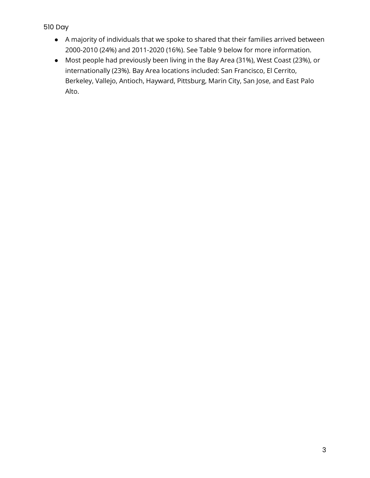- A majority of individuals that we spoke to shared that their families arrived between 2000-2010 (24%) and 2011-2020 (16%). See Table 9 below for more information.
- Most people had previously been living in the Bay Area (31%), West Coast (23%), or internationally (23%). Bay Area locations included: San Francisco, El Cerrito, Berkeley, Vallejo, Antioch, Hayward, Pittsburg, Marin City, San Jose, and East Palo Alto.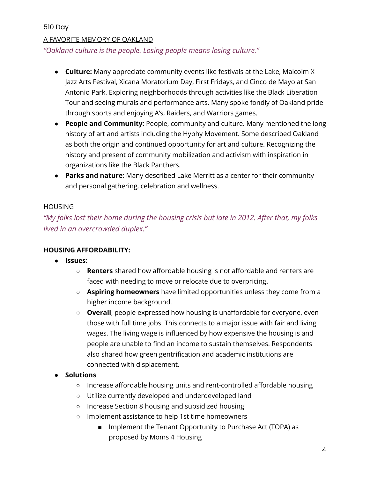#### A FAVORITE MEMORY OF OAKLAND

*"Oakland culture is the people. Losing people means losing culture."*

- **Culture:** Many appreciate community events like festivals at the Lake, Malcolm X Jazz Arts Festival, Xicana Moratorium Day, First Fridays, and Cinco de Mayo at San Antonio Park. Exploring neighborhoods through activities like the Black Liberation Tour and seeing murals and performance arts. Many spoke fondly of Oakland pride through sports and enjoying A's, Raiders, and Warriors games.
- **People and Community:** People, community and culture. Many mentioned the long history of art and artists including the Hyphy Movement. Some described Oakland as both the origin and continued opportunity for art and culture. Recognizing the history and present of community mobilization and activism with inspiration in organizations like the Black Panthers.
- **Parks and nature:** Many described Lake Merritt as a center for their community and personal gathering, celebration and wellness.

#### HOUSING

*"My folks lost their home during the housing crisis but late in 2012. After that, my folks lived in an overcrowded duplex."*

#### **HOUSING AFFORDABILITY:**

- **Issues:**
	- **Renters** shared how affordable housing is not affordable and renters are faced with needing to move or relocate due to overpricing**.**
	- **Aspiring homeowners** have limited opportunities unless they come from a higher income background.
	- **Overall**, people expressed how housing is unaffordable for everyone, even those with full time jobs. This connects to a major issue with fair and living wages. The living wage is influenced by how expensive the housing is and people are unable to find an income to sustain themselves. Respondents also shared how green gentrification and academic institutions are connected with displacement.

#### ● **Solutions**

- Increase affordable housing units and rent-controlled affordable housing
- Utilize currently developed and underdeveloped land
- Increase Section 8 housing and subsidized housing
- Implement assistance to help 1st time homeowners
	- Implement the Tenant Opportunity to Purchase Act (TOPA) as proposed by Moms 4 Housing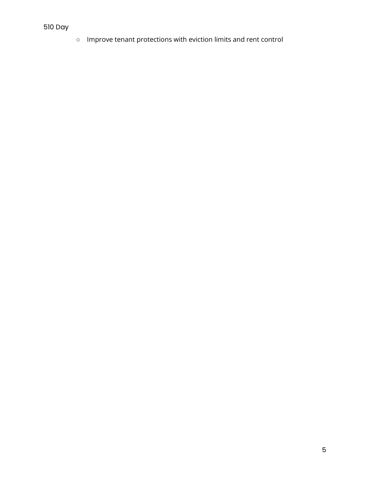○ Improve tenant protections with eviction limits and rent control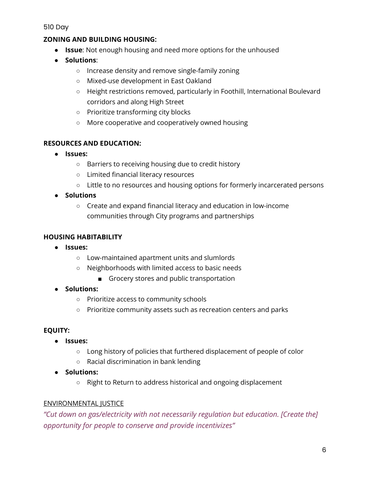## **ZONING AND BUILDING HOUSING:**

- **Issue**: Not enough housing and need more options for the unhoused
- **Solutions**:
	- Increase density and remove single-family zoning
	- Mixed-use development in East Oakland
	- Height restrictions removed, particularly in Foothill, International Boulevard corridors and along High Street
	- Prioritize transforming city blocks
	- More cooperative and cooperatively owned housing

### **RESOURCES AND EDUCATION:**

- **Issues:**
	- Barriers to receiving housing due to credit history
	- Limited financial literacy resources
	- Little to no resources and housing options for formerly incarcerated persons
- **Solutions**
	- Create and expand financial literacy and education in low-income communities through City programs and partnerships

#### **HOUSING HABITABILITY**

- **Issues:** 
	- Low-maintained apartment units and slumlords
	- Neighborhoods with limited access to basic needs
		- Grocery stores and public transportation
- **Solutions:**
	- Prioritize access to community schools
	- Prioritize community assets such as recreation centers and parks

#### **EQUITY:**

- **Issues:**
	- Long history of policies that furthered displacement of people of color
	- Racial discrimination in bank lending
- **Solutions:**
	- Right to Return to address historical and ongoing displacement

## ENVIRONMENTAL JUSTICE

*"Cut down on gas/electricity with not necessarily regulation but education. [Create the] opportunity for people to conserve and provide incentivizes"*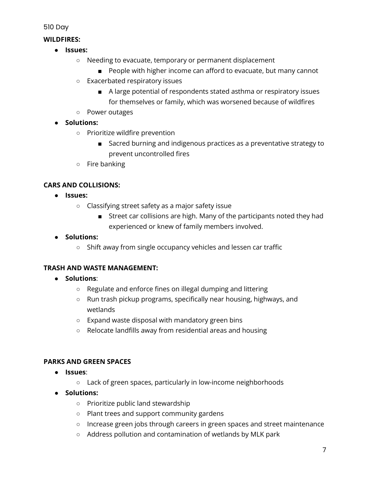### **WILDFIRES:**

- **Issues:**
	- Needing to evacuate, temporary or permanent displacement
		- People with higher income can afford to evacuate, but many cannot
	- Exacerbated respiratory issues
		- A large potential of respondents stated asthma or respiratory issues for themselves or family, which was worsened because of wildfires
	- Power outages
- **Solutions:**
	- Prioritize wildfire prevention
		- Sacred burning and indigenous practices as a preventative strategy to prevent uncontrolled fires
	- Fire banking

### **CARS AND COLLISIONS:**

- **Issues:**
	- Classifying street safety as a major safety issue
		- Street car collisions are high. Many of the participants noted they had experienced or knew of family members involved.
- **Solutions:**
	- Shift away from single occupancy vehicles and lessen car traffic

## **TRASH AND WASTE MANAGEMENT:**

- **Solutions**:
	- Regulate and enforce fines on illegal dumping and littering
	- Run trash pickup programs, specifically near housing, highways, and wetlands
	- Expand waste disposal with mandatory green bins
	- Relocate landfills away from residential areas and housing

## **PARKS AND GREEN SPACES**

- **Issues**:
	- Lack of green spaces, particularly in low-income neighborhoods
- **Solutions:**
	- Prioritize public land stewardship
	- Plant trees and support community gardens
	- Increase green jobs through careers in green spaces and street maintenance
	- Address pollution and contamination of wetlands by MLK park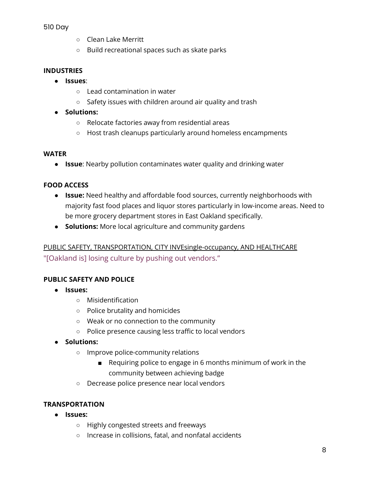- Clean Lake Merritt
- Build recreational spaces such as skate parks

### **INDUSTRIES**

- **Issues**:
	- Lead contamination in water
	- Safety issues with children around air quality and trash
- **Solutions:**
	- Relocate factories away from residential areas
	- Host trash cleanups particularly around homeless encampments

#### **WATER**

● **Issue**: Nearby pollution contaminates water quality and drinking water

### **FOOD ACCESS**

- **Issue:** Need healthy and affordable food sources, currently neighborhoods with majority fast food places and liquor stores particularly in low-income areas. Need to be more grocery department stores in East Oakland specifically.
- **Solutions:** More local agriculture and community gardens

## PUBLIC SAFETY, TRANSPORTATION, CITY INVEsingle-occupancy, AND HEALTHCARE "[Oakland is] losing culture by pushing out vendors."

#### **PUBLIC SAFETY AND POLICE**

- **Issues:**
	- Misidentification
	- Police brutality and homicides
	- Weak or no connection to the community
	- Police presence causing less traffic to local vendors
- **Solutions:**
	- Improve police-community relations
		- Requiring police to engage in 6 months minimum of work in the community between achieving badge
	- Decrease police presence near local vendors

## **TRANSPORTATION**

- **Issues:**
	- Highly congested streets and freeways
	- Increase in collisions, fatal, and nonfatal accidents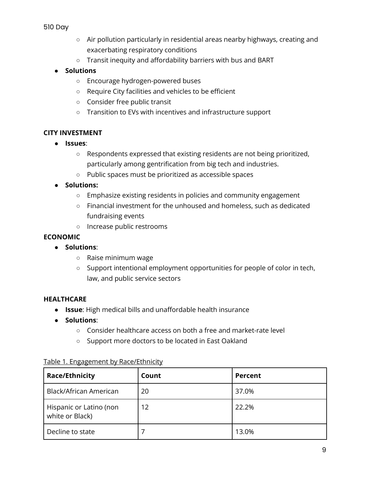- Air pollution particularly in residential areas nearby highways, creating and exacerbating respiratory conditions
- Transit inequity and affordability barriers with bus and BART

### ● **Solutions**

- Encourage hydrogen-powered buses
- Require City facilities and vehicles to be efficient
- Consider free public transit
- Transition to EVs with incentives and infrastructure support

### **CITY INVESTMENT**

- **Issues**:
	- Respondents expressed that existing residents are not being prioritized, particularly among gentrification from big tech and industries.
	- Public spaces must be prioritized as accessible spaces

### ● **Solutions:**

- Emphasize existing residents in policies and community engagement
- Financial investment for the unhoused and homeless, such as dedicated fundraising events
- Increase public restrooms

#### **ECONOMIC**

- **Solutions**:
	- Raise minimum wage
	- Support intentional employment opportunities for people of color in tech, law, and public service sectors

#### **HEALTHCARE**

- **Issue**: High medical bills and unaffordable health insurance
- **Solutions**:
	- Consider healthcare access on both a free and market-rate level
	- Support more doctors to be located in East Oakland

| <b>Race/Ethnicity</b>                      | Count | Percent |
|--------------------------------------------|-------|---------|
| Black/African American                     | 20    | 37.0%   |
| Hispanic or Latino (non<br>white or Black) | 12    | 22.2%   |
| Decline to state                           |       | 13.0%   |

#### Table 1. Engagement by Race/Ethnicity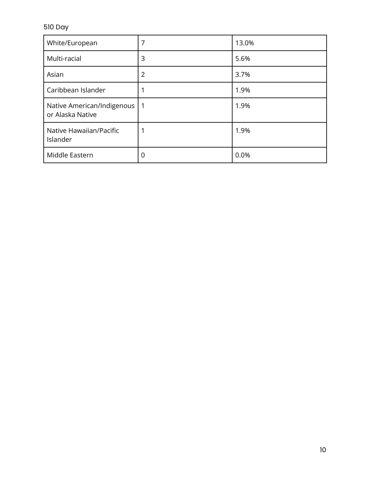| White/European                                     | 7              | 13.0% |
|----------------------------------------------------|----------------|-------|
| Multi-racial                                       | 3              | 5.6%  |
| Asian                                              | $\overline{2}$ | 3.7%  |
| Caribbean Islander                                 | 1              | 1.9%  |
| Native American/Indigenous   1<br>or Alaska Native |                | 1.9%  |
| Native Hawaiian/Pacific<br>Islander                | 1              | 1.9%  |
| Middle Eastern                                     | 0              | 0.0%  |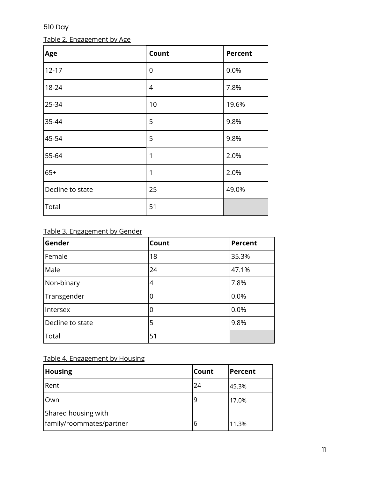## Table 2. Engagement by Age

| Age              | Count          | <b>Percent</b> |
|------------------|----------------|----------------|
| $12 - 17$        | $\mathbf 0$    | 0.0%           |
| 18-24            | $\overline{4}$ | 7.8%           |
| 25-34            | 10             | 19.6%          |
| 35-44            | 5              | 9.8%           |
| 45-54            | 5              | 9.8%           |
| 55-64            | 1              | 2.0%           |
| $65+$            | 1              | 2.0%           |
| Decline to state | 25             | 49.0%          |
| Total            | 51             |                |

## Table 3. Engagement by Gender

| Gender           | Count | <b>Percent</b> |
|------------------|-------|----------------|
| Female           | 18    | 35.3%          |
| Male             | 24    | 47.1%          |
| Non-binary       | 4     | 7.8%           |
| Transgender      | 0     | 0.0%           |
| Intersex         | 0     | 0.0%           |
| Decline to state | 5     | 9.8%           |
| Total            | 51    |                |

## Table 4. Engagement by Housing

| <b>Housing</b>           | <b>Count</b> | Percent |
|--------------------------|--------------|---------|
| Rent                     | 24           | 45.3%   |
| Own                      |              | 17.0%   |
| Shared housing with      |              |         |
| family/roommates/partner | 6            | 11.3%   |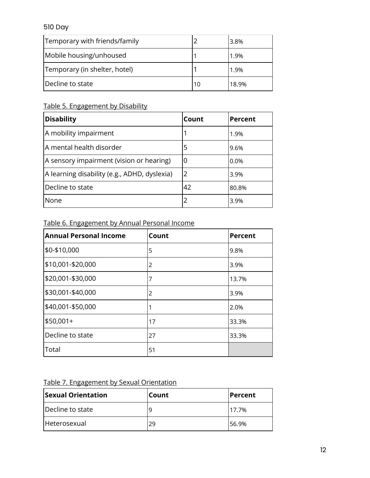| Temporary with friends/family |    | 3.8%  |
|-------------------------------|----|-------|
| Mobile housing/unhoused       |    | 1.9%  |
| Temporary (in shelter, hotel) |    | 1.9%  |
| Decline to state              | 10 | 18.9% |

## Table 5. Engagement by Disability

| <b>Disability</b>                            | Count          | Percent |
|----------------------------------------------|----------------|---------|
| A mobility impairment                        |                | 1.9%    |
| A mental health disorder                     | 5              | 9.6%    |
| A sensory impairment (vision or hearing)     | 0              | $0.0\%$ |
| A learning disability (e.g., ADHD, dyslexia) | $\overline{2}$ | 3.9%    |
| Decline to state                             | .42            | 80.8%   |
| l None                                       |                | 3.9%    |

## Table 6. Engagement by Annual Personal Income

| Annual Personal Income | Count | <b>Percent</b> |
|------------------------|-------|----------------|
| \$0-\$10,000           | 5     | 9.8%           |
| \$10,001-\$20,000      | 2     | 3.9%           |
| \$20,001-\$30,000      | 7     | 13.7%          |
| \$30,001-\$40,000      | 2     | 3.9%           |
| \$40,001-\$50,000      | 1     | 2.0%           |
| \$50,001+              | 17    | 33.3%          |
| Decline to state       | 27    | 33.3%          |
| Total                  | 51    |                |

## Table 7. Engagement by Sexual Orientation

| <b>Sexual Orientation</b> | Count | Percent |
|---------------------------|-------|---------|
| Decline to state          |       | 17.7%   |
| Heterosexual              | 29    | 56.9%   |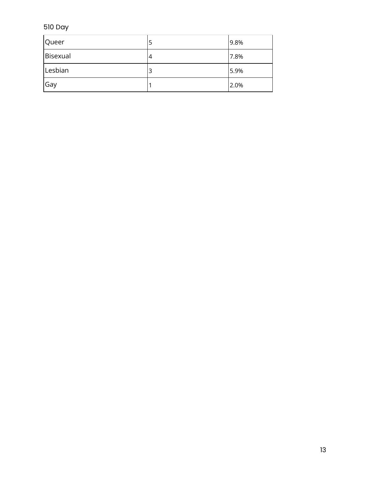| Queer    | כ | 9.8% |
|----------|---|------|
| Bisexual | 4 | 7.8% |
| Lesbian  | 3 | 5.9% |
| Gay      |   | 2.0% |